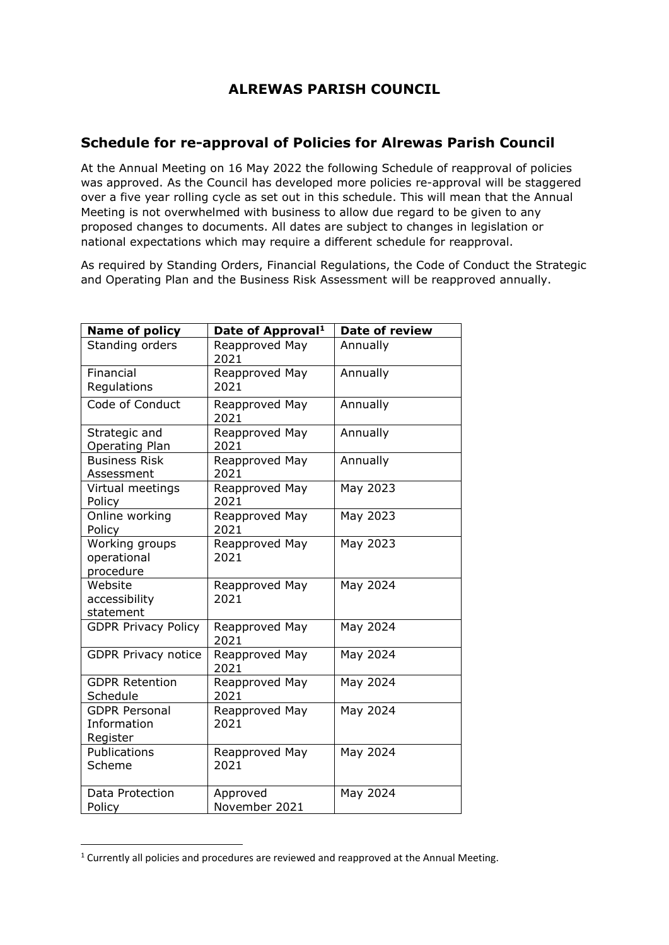## **ALREWAS PARISH COUNCIL**

## **Schedule for re-approval of Policies for Alrewas Parish Council**

At the Annual Meeting on 16 May 2022 the following Schedule of reapproval of policies was approved. As the Council has developed more policies re-approval will be staggered over a five year rolling cycle as set out in this schedule. This will mean that the Annual Meeting is not overwhelmed with business to allow due regard to be given to any proposed changes to documents. All dates are subject to changes in legislation or national expectations which may require a different schedule for reapproval.

As required by Standing Orders, Financial Regulations, the Code of Conduct the Strategic and Operating Plan and the Business Risk Assessment will be reapproved annually.

| Name of policy                                  | Date of Approval <sup>1</sup> | Date of review |
|-------------------------------------------------|-------------------------------|----------------|
| Standing orders                                 | Reapproved May<br>2021        | Annually       |
| Financial                                       | Reapproved May                | Annually       |
| Regulations                                     | 2021                          |                |
| Code of Conduct                                 | Reapproved May<br>2021        | Annually       |
| Strategic and<br><b>Operating Plan</b>          | Reapproved May<br>2021        | Annually       |
| <b>Business Risk</b><br>Assessment              | Reapproved May<br>2021        | Annually       |
| Virtual meetings<br>Policy                      | Reapproved May<br>2021        | May 2023       |
| Online working<br>Policy                        | Reapproved May<br>2021        | May 2023       |
| Working groups<br>operational<br>procedure      | Reapproved May<br>2021        | May 2023       |
| Website<br>accessibility<br>statement           | Reapproved May<br>2021        | May 2024       |
| <b>GDPR Privacy Policy</b>                      | Reapproved May<br>2021        | May 2024       |
| <b>GDPR Privacy notice</b>                      | Reapproved May<br>2021        | May 2024       |
| <b>GDPR Retention</b><br>Schedule               | Reapproved May<br>2021        | May 2024       |
| <b>GDPR Personal</b><br>Information<br>Register | Reapproved May<br>2021        | May 2024       |
| Publications<br>Scheme                          | Reapproved May<br>2021        | May 2024       |
| Data Protection<br>Policy                       | Approved<br>November 2021     | May 2024       |

<sup>&</sup>lt;sup>1</sup> Currently all policies and procedures are reviewed and reapproved at the Annual Meeting.